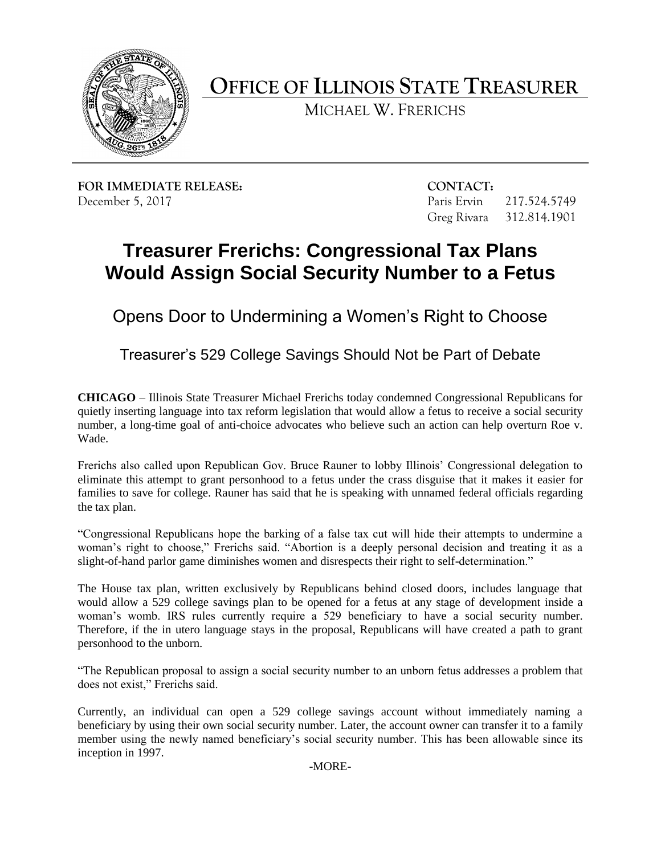

**OFFICE OF ILLINOIS STATE TREASURER** 

MICHAEL W. FRERICHS

**FOR IMMEDIATE RELEASE:** CONTACT: December 5, 2017 **Paris Ervin** 217.524.5749

Greg Rivara 312.814.1901

## **Treasurer Frerichs: Congressional Tax Plans Would Assign Social Security Number to a Fetus**

Opens Door to Undermining a Women's Right to Choose

Treasurer's 529 College Savings Should Not be Part of Debate

 **CHICAGO** – Illinois State Treasurer Michael Frerichs today condemned Congressional Republicans for quietly inserting language into tax reform legislation that would allow a fetus to receive a social security number, a long-time goal of anti-choice advocates who believe such an action can help overturn Roe v. Wade.

 Frerichs also called upon Republican Gov. Bruce Rauner to lobby Illinois' Congressional delegation to eliminate this attempt to grant personhood to a fetus under the crass disguise that it makes it easier for families to save for college. Rauner has said that he is speaking with unnamed federal officials regarding the tax plan.

 "Congressional Republicans hope the barking of a false tax cut will hide their attempts to undermine a woman's right to choose," Frerichs said. "Abortion is a deeply personal decision and treating it as a slight-of-hand parlor game diminishes women and disrespects their right to self-determination."

 The House tax plan, written exclusively by Republicans behind closed doors, includes language that would allow a 529 college savings plan to be opened for a fetus at any stage of development inside a woman's womb. IRS rules currently require a 529 beneficiary to have a social security number. Therefore, if the in utero language stays in the proposal, Republicans will have created a path to grant personhood to the unborn.

 "The Republican proposal to assign a social security number to an unborn fetus addresses a problem that does not exist," Frerichs said.

 Currently, an individual can open a 529 college savings account without immediately naming a beneficiary by using their own social security number. Later, the account owner can transfer it to a family member using the newly named beneficiary's social security number. This has been allowable since its inception in 1997.

-MORE-